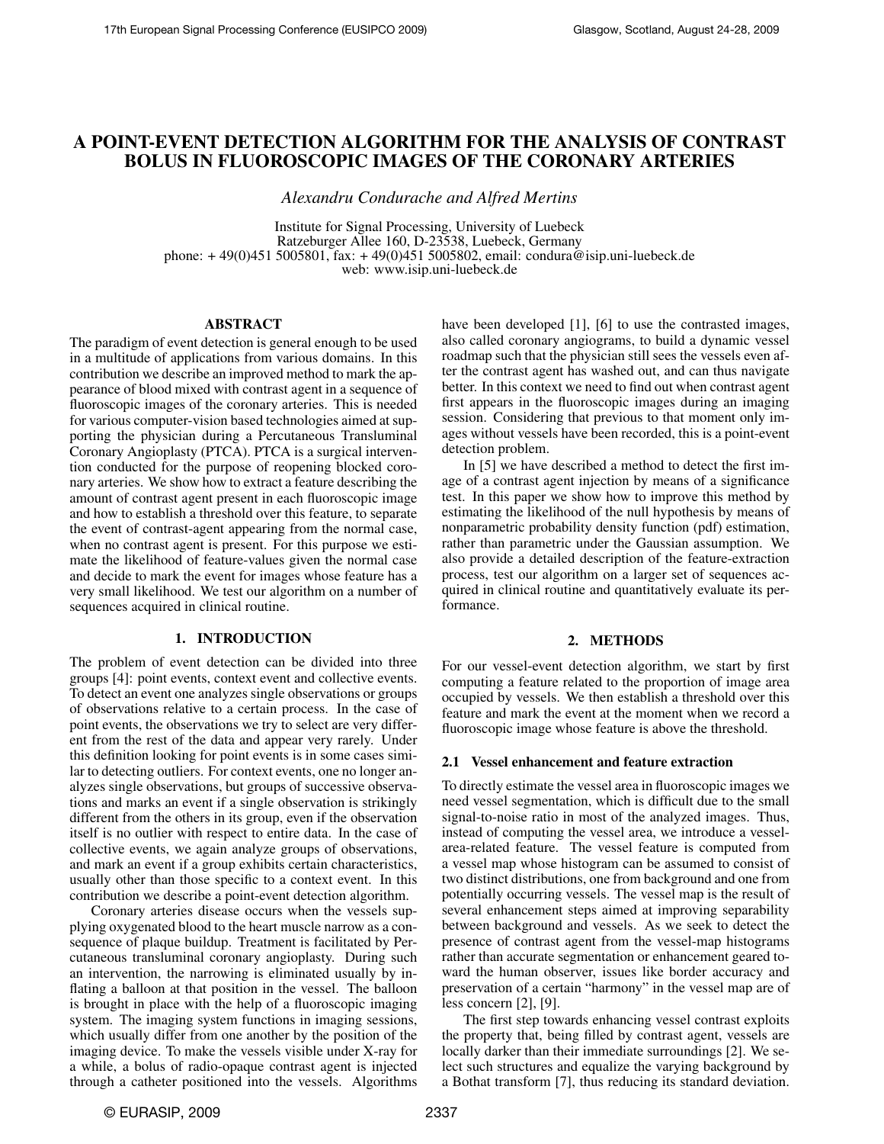# A POINT-EVENT DETECTION ALGORITHM FOR THE ANALYSIS OF CONTRAST BOLUS IN FLUOROSCOPIC IMAGES OF THE CORONARY ARTERIES

*Alexandru Condurache and Alfred Mertins*

Institute for Signal Processing, University of Luebeck Ratzeburger Allee 160, D-23538, Luebeck, Germany phone: + 49(0)451 5005801, fax: + 49(0)451 5005802, email: condura@isip.uni-luebeck.de web: www.isip.uni-luebeck.de

#### ABSTRACT

The paradigm of event detection is general enough to be used in a multitude of applications from various domains. In this contribution we describe an improved method to mark the appearance of blood mixed with contrast agent in a sequence of fluoroscopic images of the coronary arteries. This is needed for various computer-vision based technologies aimed at supporting the physician during a Percutaneous Transluminal Coronary Angioplasty (PTCA). PTCA is a surgical intervention conducted for the purpose of reopening blocked coronary arteries. We show how to extract a feature describing the amount of contrast agent present in each fluoroscopic image and how to establish a threshold over this feature, to separate the event of contrast-agent appearing from the normal case, when no contrast agent is present. For this purpose we estimate the likelihood of feature-values given the normal case and decide to mark the event for images whose feature has a very small likelihood. We test our algorithm on a number of sequences acquired in clinical routine.

#### 1. INTRODUCTION

The problem of event detection can be divided into three groups [4]: point events, context event and collective events. To detect an event one analyzes single observations or groups of observations relative to a certain process. In the case of point events, the observations we try to select are very different from the rest of the data and appear very rarely. Under this definition looking for point events is in some cases similar to detecting outliers. For context events, one no longer analyzes single observations, but groups of successive observations and marks an event if a single observation is strikingly different from the others in its group, even if the observation itself is no outlier with respect to entire data. In the case of collective events, we again analyze groups of observations, and mark an event if a group exhibits certain characteristics, usually other than those specific to a context event. In this contribution we describe a point-event detection algorithm.

Coronary arteries disease occurs when the vessels supplying oxygenated blood to the heart muscle narrow as a consequence of plaque buildup. Treatment is facilitated by Percutaneous transluminal coronary angioplasty. During such an intervention, the narrowing is eliminated usually by inflating a balloon at that position in the vessel. The balloon is brought in place with the help of a fluoroscopic imaging system. The imaging system functions in imaging sessions, which usually differ from one another by the position of the imaging device. To make the vessels visible under X-ray for a while, a bolus of radio-opaque contrast agent is injected through a catheter positioned into the vessels. Algorithms

have been developed [1], [6] to use the contrasted images, also called coronary angiograms, to build a dynamic vessel roadmap such that the physician still sees the vessels even after the contrast agent has washed out, and can thus navigate better. In this context we need to find out when contrast agent first appears in the fluoroscopic images during an imaging session. Considering that previous to that moment only images without vessels have been recorded, this is a point-event detection problem.

In [5] we have described a method to detect the first image of a contrast agent injection by means of a significance test. In this paper we show how to improve this method by estimating the likelihood of the null hypothesis by means of nonparametric probability density function (pdf) estimation, rather than parametric under the Gaussian assumption. We also provide a detailed description of the feature-extraction process, test our algorithm on a larger set of sequences acquired in clinical routine and quantitatively evaluate its performance.

## 2. METHODS

For our vessel-event detection algorithm, we start by first computing a feature related to the proportion of image area occupied by vessels. We then establish a threshold over this feature and mark the event at the moment when we record a fluoroscopic image whose feature is above the threshold.

#### 2.1 Vessel enhancement and feature extraction

To directly estimate the vessel area in fluoroscopic images we need vessel segmentation, which is difficult due to the small signal-to-noise ratio in most of the analyzed images. Thus, instead of computing the vessel area, we introduce a vesselarea-related feature. The vessel feature is computed from a vessel map whose histogram can be assumed to consist of two distinct distributions, one from background and one from potentially occurring vessels. The vessel map is the result of several enhancement steps aimed at improving separability between background and vessels. As we seek to detect the presence of contrast agent from the vessel-map histograms rather than accurate segmentation or enhancement geared toward the human observer, issues like border accuracy and preservation of a certain "harmony" in the vessel map are of less concern [2], [9].

The first step towards enhancing vessel contrast exploits the property that, being filled by contrast agent, vessels are locally darker than their immediate surroundings [2]. We select such structures and equalize the varying background by a Bothat transform [7], thus reducing its standard deviation.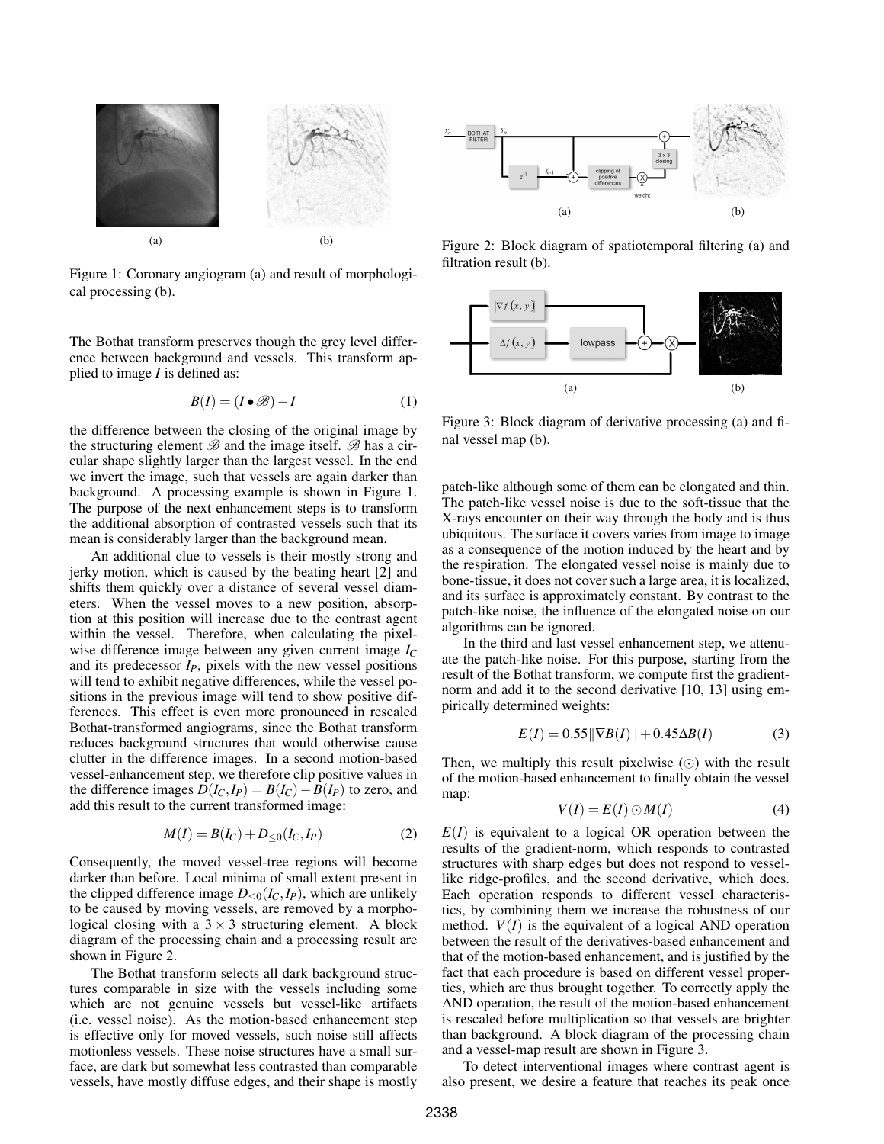

Figure 1: Coronary angiogram (a) and result of morphological processing (b).

The Bothat transform preserves though the grey level difference between background and vessels. This transform applied to image *I* is defined as:

$$
B(I) = (I \bullet \mathcal{B}) - I \tag{1}
$$

the difference between the closing of the original image by the structuring element  $\mathscr{B}$  and the image itself.  $\mathscr{B}$  has a circular shape slightly larger than the largest vessel. In the end we invert the image, such that vessels are again darker than background. A processing example is shown in Figure 1. The purpose of the next enhancement steps is to transform the additional absorption of contrasted vessels such that its mean is considerably larger than the background mean.

An additional clue to vessels is their mostly strong and jerky motion, which is caused by the beating heart [2] and shifts them quickly over a distance of several vessel diameters. When the vessel moves to a new position, absorption at this position will increase due to the contrast agent within the vessel. Therefore, when calculating the pixelwise difference image between any given current image *I<sup>C</sup>* and its predecessor  $I_P$ , pixels with the new vessel positions will tend to exhibit negative differences, while the vessel positions in the previous image will tend to show positive differences. This effect is even more pronounced in rescaled Bothat-transformed angiograms, since the Bothat transform reduces background structures that would otherwise cause clutter in the difference images. In a second motion-based vessel-enhancement step, we therefore clip positive values in the difference images  $D(I_C, I_P) = B(I_C) - B(I_P)$  to zero, and add this result to the current transformed image:

$$
M(I) = B(I_C) + D_{\leq 0}(I_C, I_P)
$$
 (2)

Consequently, the moved vessel-tree regions will become darker than before. Local minima of small extent present in the clipped difference image  $D_{\leq 0}(I_C, I_P)$ , which are unlikely to be caused by moving vessels, are removed by a morphological closing with a  $3 \times 3$  structuring element. A block diagram of the processing chain and a processing result are shown in Figure 2.

The Bothat transform selects all dark background structures comparable in size with the vessels including some which are not genuine vessels but vessel-like artifacts (i.e. vessel noise). As the motion-based enhancement step is effective only for moved vessels, such noise still affects motionless vessels. These noise structures have a small surface, are dark but somewhat less contrasted than comparable vessels, have mostly diffuse edges, and their shape is mostly



Figure 2: Block diagram of spatiotemporal filtering (a) and filtration result (b).



Figure 3: Block diagram of derivative processing (a) and final vessel map (b).

patch-like although some of them can be elongated and thin. The patch-like vessel noise is due to the soft-tissue that the X-rays encounter on their way through the body and is thus ubiquitous. The surface it covers varies from image to image as a consequence of the motion induced by the heart and by the respiration. The elongated vessel noise is mainly due to bone-tissue, it does not cover such a large area, it is localized, and its surface is approximately constant. By contrast to the patch-like noise, the influence of the elongated noise on our algorithms can be ignored.

In the third and last vessel enhancement step, we attenuate the patch-like noise. For this purpose, starting from the result of the Bothat transform, we compute first the gradientnorm and add it to the second derivative [10, 13] using empirically determined weights:

$$
E(I) = 0.55 \|\nabla B(I)\| + 0.45 \Delta B(I)
$$
 (3)

Then, we multiply this result pixelwise  $\circled{c}$  with the result of the motion-based enhancement to finally obtain the vessel map:

$$
V(I) = E(I) \odot M(I) \tag{4}
$$

 $E(I)$  is equivalent to a logical OR operation between the results of the gradient-norm, which responds to contrasted structures with sharp edges but does not respond to vessellike ridge-profiles, and the second derivative, which does. Each operation responds to different vessel characteristics, by combining them we increase the robustness of our method.  $V(I)$  is the equivalent of a logical AND operation between the result of the derivatives-based enhancement and that of the motion-based enhancement, and is justified by the fact that each procedure is based on different vessel properties, which are thus brought together. To correctly apply the AND operation, the result of the motion-based enhancement is rescaled before multiplication so that vessels are brighter than background. A block diagram of the processing chain and a vessel-map result are shown in Figure 3.

To detect interventional images where contrast agent is also present, we desire a feature that reaches its peak once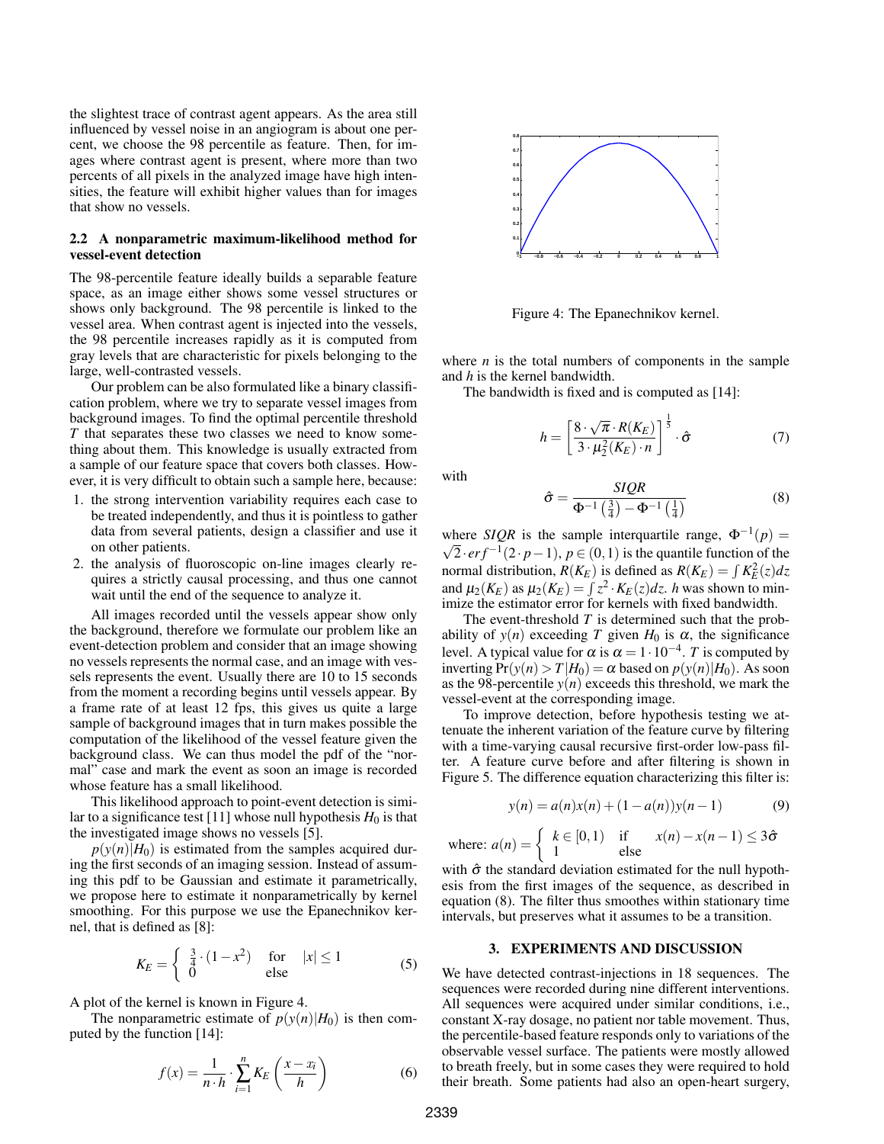the slightest trace of contrast agent appears. As the area still influenced by vessel noise in an angiogram is about one percent, we choose the 98 percentile as feature. Then, for images where contrast agent is present, where more than two percents of all pixels in the analyzed image have high intensities, the feature will exhibit higher values than for images that show no vessels.

## 2.2 A nonparametric maximum-likelihood method for vessel-event detection

The 98-percentile feature ideally builds a separable feature space, as an image either shows some vessel structures or shows only background. The 98 percentile is linked to the vessel area. When contrast agent is injected into the vessels, the 98 percentile increases rapidly as it is computed from gray levels that are characteristic for pixels belonging to the large, well-contrasted vessels.

Our problem can be also formulated like a binary classification problem, where we try to separate vessel images from background images. To find the optimal percentile threshold *T* that separates these two classes we need to know something about them. This knowledge is usually extracted from a sample of our feature space that covers both classes. However, it is very difficult to obtain such a sample here, because:

- 1. the strong intervention variability requires each case to be treated independently, and thus it is pointless to gather data from several patients, design a classifier and use it on other patients.
- 2. the analysis of fluoroscopic on-line images clearly requires a strictly causal processing, and thus one cannot wait until the end of the sequence to analyze it.

All images recorded until the vessels appear show only the background, therefore we formulate our problem like an event-detection problem and consider that an image showing no vessels represents the normal case, and an image with vessels represents the event. Usually there are 10 to 15 seconds from the moment a recording begins until vessels appear. By a frame rate of at least 12 fps, this gives us quite a large sample of background images that in turn makes possible the computation of the likelihood of the vessel feature given the background class. We can thus model the pdf of the "normal" case and mark the event as soon an image is recorded whose feature has a small likelihood.

This likelihood approach to point-event detection is similar to a significance test [11] whose null hypothesis  $H_0$  is that the investigated image shows no vessels [5].

 $p(y(n)|H_0)$  is estimated from the samples acquired during the first seconds of an imaging session. Instead of assuming this pdf to be Gaussian and estimate it parametrically, we propose here to estimate it nonparametrically by kernel smoothing. For this purpose we use the Epanechnikov kernel, that is defined as [8]:

$$
K_E = \begin{cases} \frac{3}{4} \cdot (1 - x^2) & \text{for} \quad |x| \le 1 \\ 0 & \text{else} \end{cases} \tag{5}
$$

A plot of the kernel is known in Figure 4.

The nonparametric estimate of  $p(y(n)|H_0)$  is then computed by the function [14]:

$$
f(x) = \frac{1}{n \cdot h} \cdot \sum_{i=1}^{n} K_E \left( \frac{x - x_i}{h} \right) \tag{6}
$$



Figure 4: The Epanechnikov kernel.

where  $n$  is the total numbers of components in the sample and *h* is the kernel bandwidth.

The bandwidth is fixed and is computed as [14]:

$$
h = \left[\frac{8 \cdot \sqrt{\pi} \cdot R(K_E)}{3 \cdot \mu_2^2(K_E) \cdot n}\right]^{\frac{1}{5}} \cdot \hat{\sigma}
$$
 (7)

with

$$
\hat{\sigma} = \frac{SQR}{\Phi^{-1}\left(\frac{3}{4}\right) - \Phi^{-1}\left(\frac{1}{4}\right)}\tag{8}
$$

where *SIQR* is the sample interquartile range,  $\Phi^{-1}(p) = \sqrt{p}$  $\overline{2} \cdot erf^{-1}(2 \cdot p-1), p \in (0,1)$  is the quantile function of the normal distribution,  $R(K_E)$  is defined as  $R(K_E) = \int K_E^2(z) dz$ and  $\mu_2(K_E)$  as  $\mu_2(K_E) = \int z^2 \cdot K_E(z) dz$ . *h* was shown to minimize the estimator error for kernels with fixed bandwidth.

The event-threshold *T* is determined such that the probability of  $y(n)$  exceeding *T* given  $H_0$  is  $\alpha$ , the significance level. A typical value for  $\alpha$  is  $\alpha = 1 \cdot 10^{-4}$ . *T* is computed by inverting  $Pr(y(n) > T | H_0) = \alpha$  based on  $p(y(n)|H_0)$ . As soon as the 98-percentile  $y(n)$  exceeds this threshold, we mark the vessel-event at the corresponding image.

To improve detection, before hypothesis testing we attenuate the inherent variation of the feature curve by filtering with a time-varying causal recursive first-order low-pass filter. A feature curve before and after filtering is shown in Figure 5. The difference equation characterizing this filter is:

$$
y(n) = a(n)x(n) + (1 - a(n))y(n-1)
$$
 (9)

where:  $a(n) = \begin{cases} k \in [0,1) & \text{if } x(n) - x(n-1) \leq 3\hat{\sigma} \end{cases}$ 1 else

with  $\hat{\sigma}$  the standard deviation estimated for the null hypothesis from the first images of the sequence, as described in equation (8). The filter thus smoothes within stationary time intervals, but preserves what it assumes to be a transition.

#### 3. EXPERIMENTS AND DISCUSSION

We have detected contrast-injections in 18 sequences. The sequences were recorded during nine different interventions. All sequences were acquired under similar conditions, i.e., constant X-ray dosage, no patient nor table movement. Thus, the percentile-based feature responds only to variations of the observable vessel surface. The patients were mostly allowed to breath freely, but in some cases they were required to hold their breath. Some patients had also an open-heart surgery,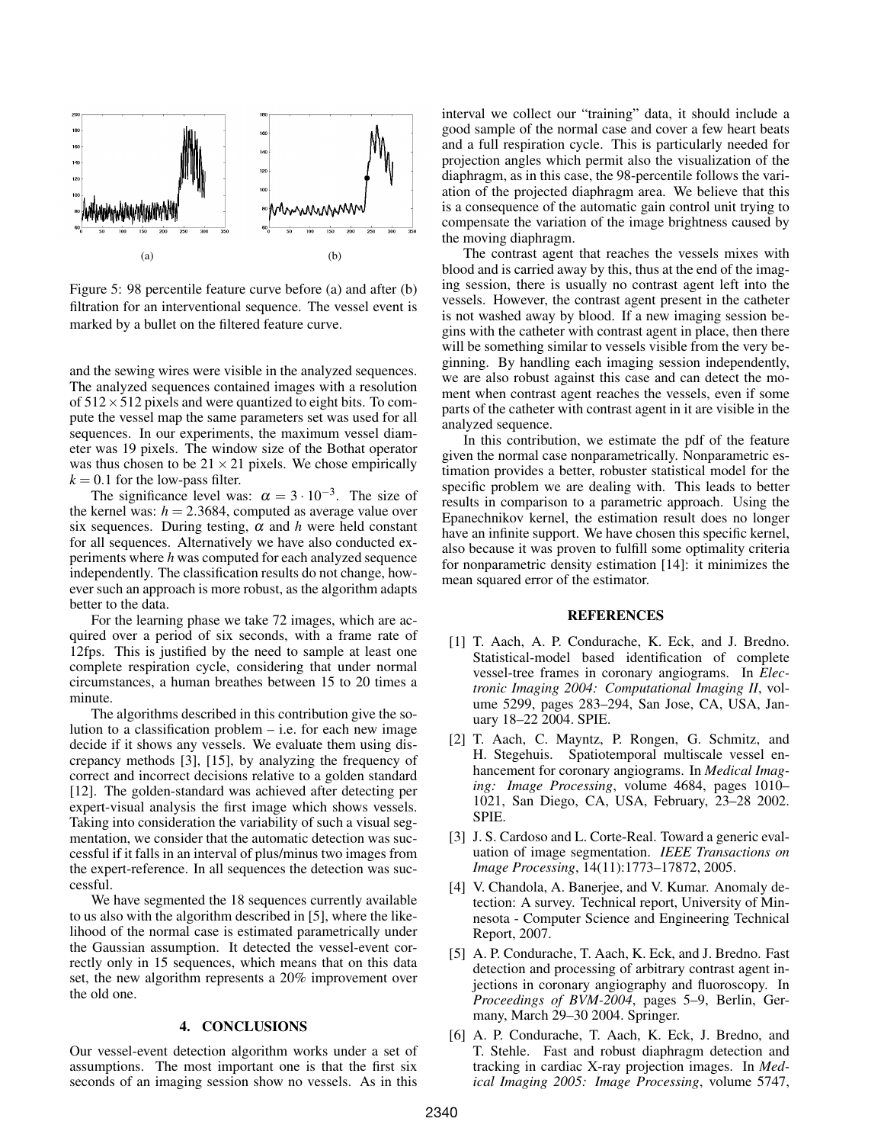

Figure 5: 98 percentile feature curve before (a) and after (b) filtration for an interventional sequence. The vessel event is marked by a bullet on the filtered feature curve.

and the sewing wires were visible in the analyzed sequences. The analyzed sequences contained images with a resolution of  $512 \times 512$  pixels and were quantized to eight bits. To compute the vessel map the same parameters set was used for all sequences. In our experiments, the maximum vessel diameter was 19 pixels. The window size of the Bothat operator was thus chosen to be  $21 \times 21$  pixels. We chose empirically  $k = 0.1$  for the low-pass filter.

The significance level was:  $\alpha = 3 \cdot 10^{-3}$ . The size of the kernel was:  $h = 2.3684$ , computed as average value over six sequences. During testing,  $\alpha$  and  $h$  were held constant for all sequences. Alternatively we have also conducted experiments where *h* was computed for each analyzed sequence independently. The classification results do not change, however such an approach is more robust, as the algorithm adapts better to the data.

For the learning phase we take 72 images, which are acquired over a period of six seconds, with a frame rate of 12fps. This is justified by the need to sample at least one complete respiration cycle, considering that under normal circumstances, a human breathes between 15 to 20 times a minute.

The algorithms described in this contribution give the solution to a classification problem  $-$  i.e. for each new image decide if it shows any vessels. We evaluate them using discrepancy methods [3], [15], by analyzing the frequency of correct and incorrect decisions relative to a golden standard [12]. The golden-standard was achieved after detecting per expert-visual analysis the first image which shows vessels. Taking into consideration the variability of such a visual segmentation, we consider that the automatic detection was successful if it falls in an interval of plus/minus two images from the expert-reference. In all sequences the detection was successful.

We have segmented the 18 sequences currently available to us also with the algorithm described in [5], where the likelihood of the normal case is estimated parametrically under the Gaussian assumption. It detected the vessel-event correctly only in 15 sequences, which means that on this data set, the new algorithm represents a 20% improvement over the old one.

### 4. CONCLUSIONS

Our vessel-event detection algorithm works under a set of assumptions. The most important one is that the first six seconds of an imaging session show no vessels. As in this

interval we collect our "training" data, it should include a good sample of the normal case and cover a few heart beats and a full respiration cycle. This is particularly needed for projection angles which permit also the visualization of the diaphragm, as in this case, the 98-percentile follows the variation of the projected diaphragm area. We believe that this is a consequence of the automatic gain control unit trying to compensate the variation of the image brightness caused by the moving diaphragm.

The contrast agent that reaches the vessels mixes with blood and is carried away by this, thus at the end of the imaging session, there is usually no contrast agent left into the vessels. However, the contrast agent present in the catheter is not washed away by blood. If a new imaging session begins with the catheter with contrast agent in place, then there will be something similar to vessels visible from the very beginning. By handling each imaging session independently, we are also robust against this case and can detect the moment when contrast agent reaches the vessels, even if some parts of the catheter with contrast agent in it are visible in the analyzed sequence.

In this contribution, we estimate the pdf of the feature given the normal case nonparametrically. Nonparametric estimation provides a better, robuster statistical model for the specific problem we are dealing with. This leads to better results in comparison to a parametric approach. Using the Epanechnikov kernel, the estimation result does no longer have an infinite support. We have chosen this specific kernel, also because it was proven to fulfill some optimality criteria for nonparametric density estimation [14]: it minimizes the mean squared error of the estimator.

#### **REFERENCES**

- [1] T. Aach, A. P. Condurache, K. Eck, and J. Bredno. Statistical-model based identification of complete vessel-tree frames in coronary angiograms. In *Electronic Imaging 2004: Computational Imaging II*, volume 5299, pages 283–294, San Jose, CA, USA, January 18–22 2004. SPIE.
- [2] T. Aach, C. Mayntz, P. Rongen, G. Schmitz, and H. Stegehuis. Spatiotemporal multiscale vessel enhancement for coronary angiograms. In *Medical Imaging: Image Processing*, volume 4684, pages 1010– 1021, San Diego, CA, USA, February, 23–28 2002. SPIE.
- [3] J. S. Cardoso and L. Corte-Real. Toward a generic evaluation of image segmentation. *IEEE Transactions on Image Processing*, 14(11):1773–17872, 2005.
- [4] V. Chandola, A. Banerjee, and V. Kumar. Anomaly detection: A survey. Technical report, University of Minnesota - Computer Science and Engineering Technical Report, 2007.
- [5] A. P. Condurache, T. Aach, K. Eck, and J. Bredno. Fast detection and processing of arbitrary contrast agent injections in coronary angiography and fluoroscopy. In *Proceedings of BVM-2004*, pages 5–9, Berlin, Germany, March 29–30 2004. Springer.
- [6] A. P. Condurache, T. Aach, K. Eck, J. Bredno, and T. Stehle. Fast and robust diaphragm detection and tracking in cardiac X-ray projection images. In *Medical Imaging 2005: Image Processing*, volume 5747,